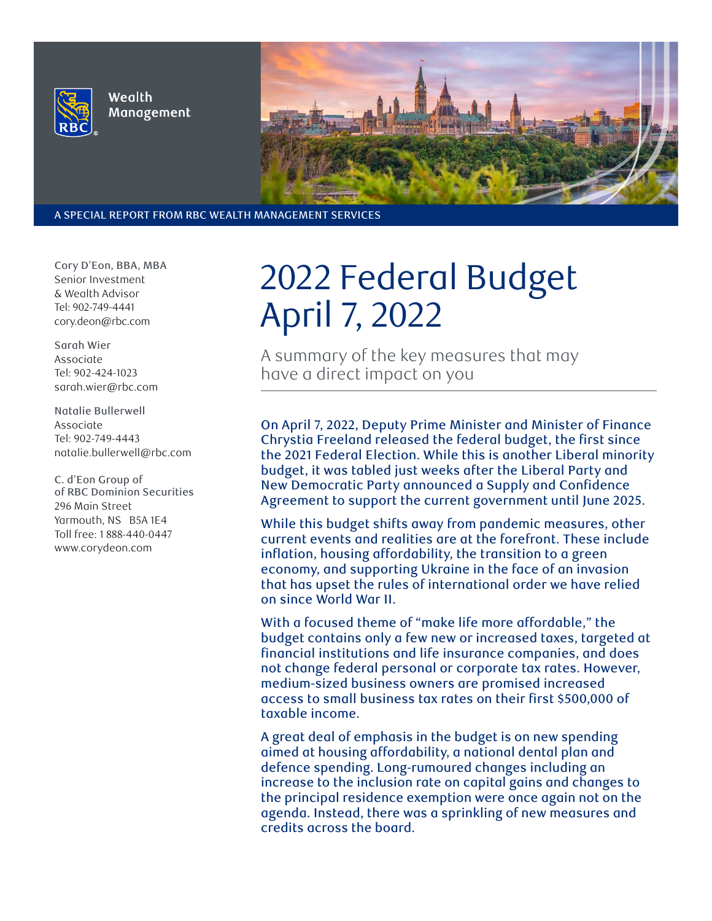

Wealth Management



A SPECIAL REPORT FROM RBC WEALTH MANAGEMENT SERVICES

**Cory D'Eon, BBA, MBA Senior Investment & Wealth Advisor Tel: 902-749-4441 cory.deon@rbc.com**

**Sarah Wier Associate Tel: 902-424-1023 sarah.wier@rbc.com**

**Natalie Bullerwell Associate Tel: 902-749-4443 natalie.bullerwell@rbc.com**

**C. d'Eon Group of of RBC Dominion Securities 296 Main Street Yarmouth, NS B5A 1E4 Toll free: 1 888-440-0447 www.corydeon.com**

# 2022 Federal Budget April 7, 2022

A summary of the key measures that may have a direct impact on you

On April 7, 2022, Deputy Prime Minister and Minister of Finance Chrystia Freeland released the federal budget, the first since the 2021 Federal Election. While this is another Liberal minority budget, it was tabled just weeks after the Liberal Party and New Democratic Party announced a Supply and Confidence Agreement to support the current government until June 2025.

While this budget shifts away from pandemic measures, other current events and realities are at the forefront. These include inflation, housing affordability, the transition to a green economy, and supporting Ukraine in the face of an invasion that has upset the rules of international order we have relied on since World War II.

With a focused theme of "make life more affordable," the budget contains only a few new or increased taxes, targeted at financial institutions and life insurance companies, and does not change federal personal or corporate tax rates. However, medium-sized business owners are promised increased access to small business tax rates on their first \$500,000 of taxable income.

A great deal of emphasis in the budget is on new spending aimed at housing affordability, a national dental plan and defence spending. Long-rumoured changes including an increase to the inclusion rate on capital gains and changes to the principal residence exemption were once again not on the agenda. Instead, there was a sprinkling of new measures and credits across the board.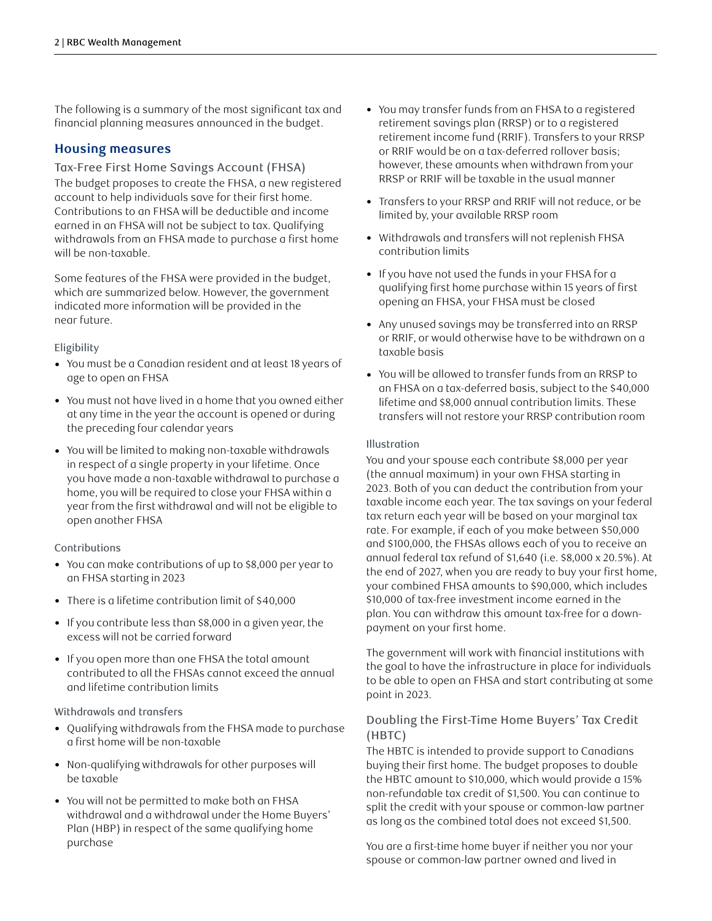The following is a summary of the most significant tax and financial planning measures announced in the budget.

## **Housing measures**

#### Tax-Free First Home Savings Account (FHSA)

The budget proposes to create the FHSA, a new registered account to help individuals save for their first home. Contributions to an FHSA will be deductible and income earned in an FHSA will not be subject to tax. Qualifying withdrawals from an FHSA made to purchase a first home will be non-taxable.

Some features of the FHSA were provided in the budget, which are summarized below. However, the government indicated more information will be provided in the near future.

#### Eligibility

- You must be a Canadian resident and at least 18 years of age to open an FHSA
- You must not have lived in a home that you owned either at any time in the year the account is opened or during the preceding four calendar years
- You will be limited to making non-taxable withdrawals in respect of a single property in your lifetime. Once you have made a non-taxable withdrawal to purchase a home, you will be required to close your FHSA within a year from the first withdrawal and will not be eligible to open another FHSA

#### Contributions

- You can make contributions of up to \$8,000 per year to an FHSA starting in 2023
- There is a lifetime contribution limit of \$40,000
- If you contribute less than \$8,000 in a given year, the excess will not be carried forward
- If you open more than one FHSA the total amount contributed to all the FHSAs cannot exceed the annual and lifetime contribution limits

#### Withdrawals and transfers

- Qualifying withdrawals from the FHSA made to purchase a first home will be non-taxable
- Non-qualifying withdrawals for other purposes will be taxable
- You will not be permitted to make both an FHSA withdrawal and a withdrawal under the Home Buyers' Plan (HBP) in respect of the same qualifying home purchase
- You may transfer funds from an FHSA to a registered retirement savings plan (RRSP) or to a registered retirement income fund (RRIF). Transfers to your RRSP or RRIF would be on a tax-deferred rollover basis; however, these amounts when withdrawn from your RRSP or RRIF will be taxable in the usual manner
- Transfers to your RRSP and RRIF will not reduce, or be limited by, your available RRSP room
- Withdrawals and transfers will not replenish FHSA contribution limits
- If you have not used the funds in your FHSA for a qualifying first home purchase within 15 years of first opening an FHSA, your FHSA must be closed
- Any unused savings may be transferred into an RRSP or RRIF, or would otherwise have to be withdrawn on a taxable basis
- You will be allowed to transfer funds from an RRSP to an FHSA on a tax-deferred basis, subject to the \$40,000 lifetime and \$8,000 annual contribution limits. These transfers will not restore your RRSP contribution room

#### **Illustration**

You and your spouse each contribute \$8,000 per year (the annual maximum) in your own FHSA starting in 2023. Both of you can deduct the contribution from your taxable income each year. The tax savings on your federal tax return each year will be based on your marginal tax rate. For example, if each of you make between \$50,000 and \$100,000, the FHSAs allows each of you to receive an annual federal tax refund of \$1,640 (i.e. \$8,000 x 20.5%). At the end of 2027, when you are ready to buy your first home, your combined FHSA amounts to \$90,000, which includes \$10,000 of tax-free investment income earned in the plan. You can withdraw this amount tax-free for a downpayment on your first home.

The government will work with financial institutions with the goal to have the infrastructure in place for individuals to be able to open an FHSA and start contributing at some point in 2023.

#### Doubling the First-Time Home Buyers' Tax Credit (HBTC)

The HBTC is intended to provide support to Canadians buying their first home. The budget proposes to double the HBTC amount to \$10,000, which would provide a 15% non-refundable tax credit of \$1,500. You can continue to split the credit with your spouse or common-law partner as long as the combined total does not exceed \$1,500.

You are a first-time home buyer if neither you nor your spouse or common-law partner owned and lived in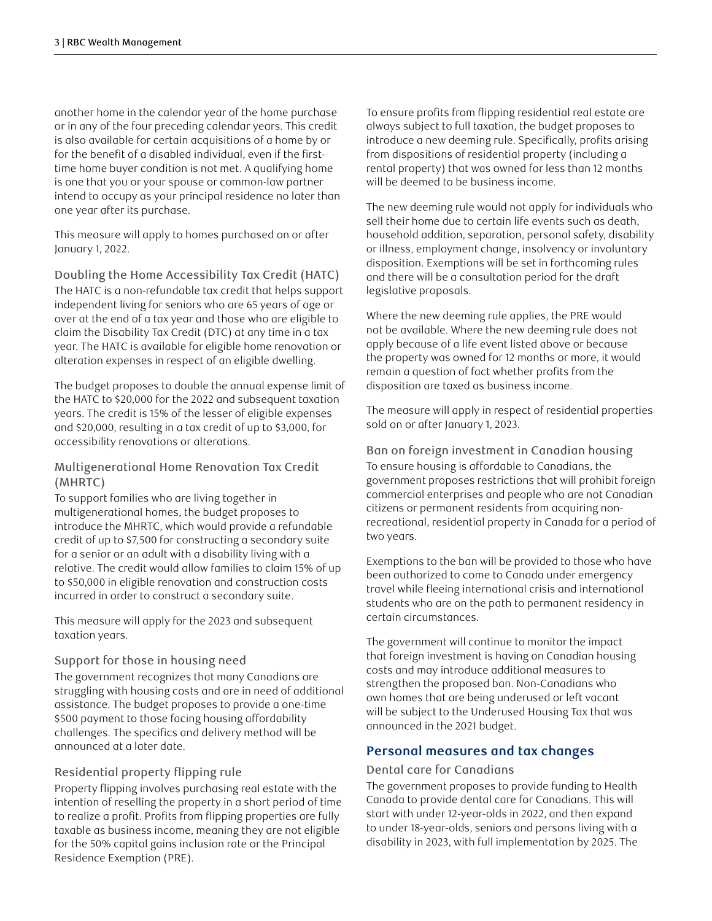another home in the calendar year of the home purchase or in any of the four preceding calendar years. This credit is also available for certain acquisitions of a home by or for the benefit of a disabled individual, even if the firsttime home buyer condition is not met. A qualifying home is one that you or your spouse or common-law partner intend to occupy as your principal residence no later than one year after its purchase.

This measure will apply to homes purchased on or after January 1, 2022.

Doubling the Home Accessibility Tax Credit (HATC) The HATC is a non-refundable tax credit that helps support independent living for seniors who are 65 years of age or over at the end of a tax year and those who are eligible to claim the Disability Tax Credit (DTC) at any time in a tax year. The HATC is available for eligible home renovation or alteration expenses in respect of an eligible dwelling.

The budget proposes to double the annual expense limit of the HATC to \$20,000 for the 2022 and subsequent taxation years. The credit is 15% of the lesser of eligible expenses and \$20,000, resulting in a tax credit of up to \$3,000, for accessibility renovations or alterations.

## Multigenerational Home Renovation Tax Credit (MHRTC)

To support families who are living together in multigenerational homes, the budget proposes to introduce the MHRTC, which would provide a refundable credit of up to \$7,500 for constructing a secondary suite for a senior or an adult with a disability living with a relative. The credit would allow families to claim 15% of up to \$50,000 in eligible renovation and construction costs incurred in order to construct a secondary suite.

This measure will apply for the 2023 and subsequent taxation years.

#### Support for those in housing need

The government recognizes that many Canadians are struggling with housing costs and are in need of additional assistance. The budget proposes to provide a one-time \$500 payment to those facing housing affordability challenges. The specifics and delivery method will be announced at a later date.

#### Residential property flipping rule

Property flipping involves purchasing real estate with the intention of reselling the property in a short period of time to realize a profit. Profits from flipping properties are fully taxable as business income, meaning they are not eligible for the 50% capital gains inclusion rate or the Principal Residence Exemption (PRE).

To ensure profits from flipping residential real estate are always subject to full taxation, the budget proposes to introduce a new deeming rule. Specifically, profits arising from dispositions of residential property (including a rental property) that was owned for less than 12 months will be deemed to be business income.

The new deeming rule would not apply for individuals who sell their home due to certain life events such as death, household addition, separation, personal safety, disability or illness, employment change, insolvency or involuntary disposition. Exemptions will be set in forthcoming rules and there will be a consultation period for the draft legislative proposals.

Where the new deeming rule applies, the PRE would not be available. Where the new deeming rule does not apply because of a life event listed above or because the property was owned for 12 months or more, it would remain a question of fact whether profits from the disposition are taxed as business income.

The measure will apply in respect of residential properties sold on or after January 1, 2023.

Ban on foreign investment in Canadian housing To ensure housing is affordable to Canadians, the government proposes restrictions that will prohibit foreign commercial enterprises and people who are not Canadian citizens or permanent residents from acquiring nonrecreational, residential property in Canada for a period of two years.

Exemptions to the ban will be provided to those who have been authorized to come to Canada under emergency travel while fleeing international crisis and international students who are on the path to permanent residency in certain circumstances.

The government will continue to monitor the impact that foreign investment is having on Canadian housing costs and may introduce additional measures to strengthen the proposed ban. Non-Canadians who own homes that are being underused or left vacant will be subject to the Underused Housing Tax that was announced in the 2021 budget.

# **Personal measures and tax changes**

#### Dental care for Canadians

The government proposes to provide funding to Health Canada to provide dental care for Canadians. This will start with under 12-year-olds in 2022, and then expand to under 18-year-olds, seniors and persons living with a disability in 2023, with full implementation by 2025. The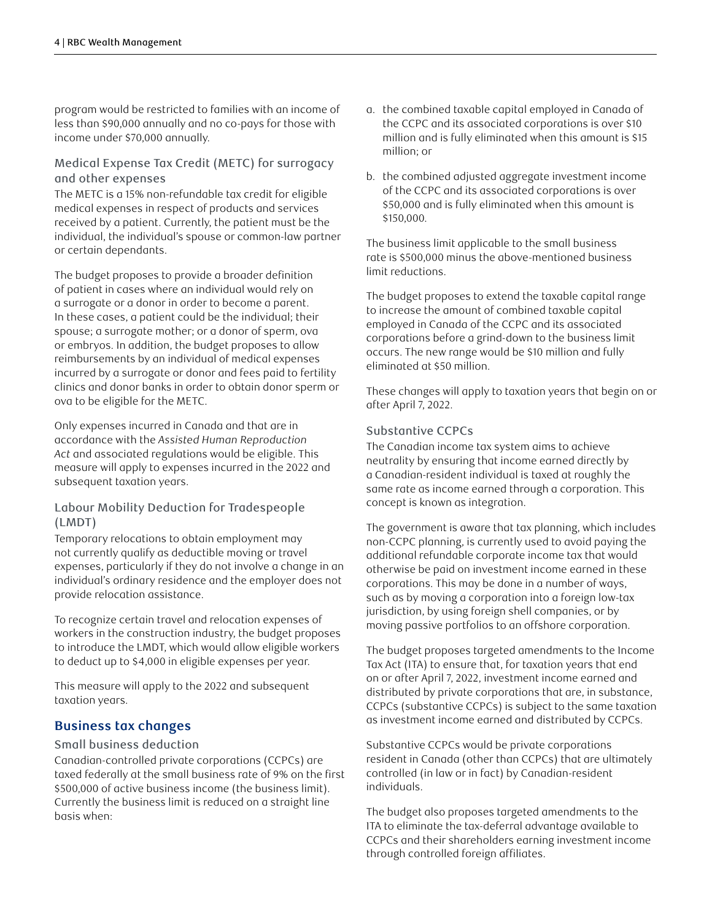program would be restricted to families with an income of less than \$90,000 annually and no co-pays for those with income under \$70,000 annually.

## Medical Expense Tax Credit (METC) for surrogacy and other expenses

The METC is a 15% non-refundable tax credit for eligible medical expenses in respect of products and services received by a patient. Currently, the patient must be the individual, the individual's spouse or common-law partner or certain dependants.

The budget proposes to provide a broader definition of patient in cases where an individual would rely on a surrogate or a donor in order to become a parent. In these cases, a patient could be the individual; their spouse; a surrogate mother; or a donor of sperm, ova or embryos. In addition, the budget proposes to allow reimbursements by an individual of medical expenses incurred by a surrogate or donor and fees paid to fertility clinics and donor banks in order to obtain donor sperm or ova to be eligible for the METC.

Only expenses incurred in Canada and that are in accordance with the *Assisted Human Reproduction Act* and associated regulations would be eligible. This measure will apply to expenses incurred in the 2022 and subsequent taxation years.

#### Labour Mobility Deduction for Tradespeople (LMDT)

Temporary relocations to obtain employment may not currently qualify as deductible moving or travel expenses, particularly if they do not involve a change in an individual's ordinary residence and the employer does not provide relocation assistance.

To recognize certain travel and relocation expenses of workers in the construction industry, the budget proposes to introduce the LMDT, which would allow eligible workers to deduct up to \$4,000 in eligible expenses per year.

This measure will apply to the 2022 and subsequent taxation years.

# **Business tax changes**

#### Small business deduction

Canadian-controlled private corporations (CCPCs) are taxed federally at the small business rate of 9% on the first \$500,000 of active business income (the business limit). Currently the business limit is reduced on a straight line basis when:

- a. the combined taxable capital employed in Canada of the CCPC and its associated corporations is over \$10 million and is fully eliminated when this amount is \$15 million; or
- b. the combined adjusted aggregate investment income of the CCPC and its associated corporations is over \$50,000 and is fully eliminated when this amount is \$150,000.

The business limit applicable to the small business rate is \$500,000 minus the above-mentioned business limit reductions.

The budget proposes to extend the taxable capital range to increase the amount of combined taxable capital employed in Canada of the CCPC and its associated corporations before a grind-down to the business limit occurs. The new range would be \$10 million and fully eliminated at \$50 million.

These changes will apply to taxation years that begin on or after April 7, 2022.

#### Substantive CCPCs

The Canadian income tax system aims to achieve neutrality by ensuring that income earned directly by a Canadian-resident individual is taxed at roughly the same rate as income earned through a corporation. This concept is known as integration.

The government is aware that tax planning, which includes non-CCPC planning, is currently used to avoid paying the additional refundable corporate income tax that would otherwise be paid on investment income earned in these corporations. This may be done in a number of ways, such as by moving a corporation into a foreign low-tax jurisdiction, by using foreign shell companies, or by moving passive portfolios to an offshore corporation.

The budget proposes targeted amendments to the Income Tax Act (ITA) to ensure that, for taxation years that end on or after April 7, 2022, investment income earned and distributed by private corporations that are, in substance, CCPCs (substantive CCPCs) is subject to the same taxation as investment income earned and distributed by CCPCs.

Substantive CCPCs would be private corporations resident in Canada (other than CCPCs) that are ultimately controlled (in law or in fact) by Canadian-resident individuals.

The budget also proposes targeted amendments to the ITA to eliminate the tax-deferral advantage available to CCPCs and their shareholders earning investment income through controlled foreign affiliates.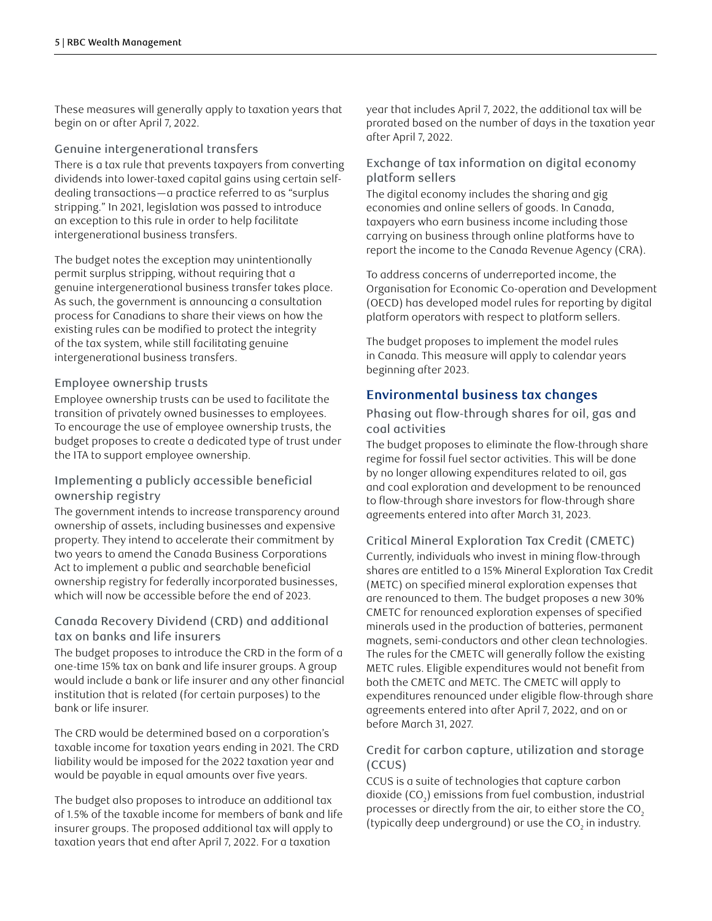These measures will generally apply to taxation years that begin on or after April 7, 2022.

#### Genuine intergenerational transfers

There is a tax rule that prevents taxpayers from converting dividends into lower-taxed capital gains using certain selfdealing transactions—a practice referred to as "surplus stripping." In 2021, legislation was passed to introduce an exception to this rule in order to help facilitate intergenerational business transfers.

The budget notes the exception may unintentionally permit surplus stripping, without requiring that a genuine intergenerational business transfer takes place. As such, the government is announcing a consultation process for Canadians to share their views on how the existing rules can be modified to protect the integrity of the tax system, while still facilitating genuine intergenerational business transfers.

#### Employee ownership trusts

Employee ownership trusts can be used to facilitate the transition of privately owned businesses to employees. To encourage the use of employee ownership trusts, the budget proposes to create a dedicated type of trust under the ITA to support employee ownership.

#### Implementing a publicly accessible beneficial ownership registry

The government intends to increase transparency around ownership of assets, including businesses and expensive property. They intend to accelerate their commitment by two years to amend the Canada Business Corporations Act to implement a public and searchable beneficial ownership registry for federally incorporated businesses, which will now be accessible before the end of 2023.

## Canada Recovery Dividend (CRD) and additional tax on banks and life insurers

The budget proposes to introduce the CRD in the form of a one-time 15% tax on bank and life insurer groups. A group would include a bank or life insurer and any other financial institution that is related (for certain purposes) to the bank or life insurer.

The CRD would be determined based on a corporation's taxable income for taxation years ending in 2021. The CRD liability would be imposed for the 2022 taxation year and would be payable in equal amounts over five years.

The budget also proposes to introduce an additional tax of 1.5% of the taxable income for members of bank and life insurer groups. The proposed additional tax will apply to taxation years that end after April 7, 2022. For a taxation

year that includes April 7, 2022, the additional tax will be prorated based on the number of days in the taxation year after April 7, 2022.

## Exchange of tax information on digital economy platform sellers

The digital economy includes the sharing and gig economies and online sellers of goods. In Canada, taxpayers who earn business income including those carrying on business through online platforms have to report the income to the Canada Revenue Agency (CRA).

To address concerns of underreported income, the Organisation for Economic Co-operation and Development (OECD) has developed model rules for reporting by digital platform operators with respect to platform sellers.

The budget proposes to implement the model rules in Canada. This measure will apply to calendar years beginning after 2023.

# **Environmental business tax changes**

Phasing out flow-through shares for oil, gas and coal activities

The budget proposes to eliminate the flow-through share regime for fossil fuel sector activities. This will be done by no longer allowing expenditures related to oil, gas and coal exploration and development to be renounced to flow-through share investors for flow-through share agreements entered into after March 31, 2023.

# Critical Mineral Exploration Tax Credit (CMETC)

Currently, individuals who invest in mining flow-through shares are entitled to a 15% Mineral Exploration Tax Credit (METC) on specified mineral exploration expenses that are renounced to them. The budget proposes a new 30% CMETC for renounced exploration expenses of specified minerals used in the production of batteries, permanent magnets, semi-conductors and other clean technologies. The rules for the CMETC will generally follow the existing METC rules. Eligible expenditures would not benefit from both the CMETC and METC. The CMETC will apply to expenditures renounced under eligible flow-through share agreements entered into after April 7, 2022, and on or before March 31, 2027.

#### Credit for carbon capture, utilization and storage (CCUS)

CCUS is a suite of technologies that capture carbon dioxide (CO $_{\textrm{\tiny{2}}}$ ) emissions from fuel combustion, industrial processes or directly from the air, to either store the CO<sub>2</sub> (typically deep underground) or use the CO<sub>2</sub> in industry.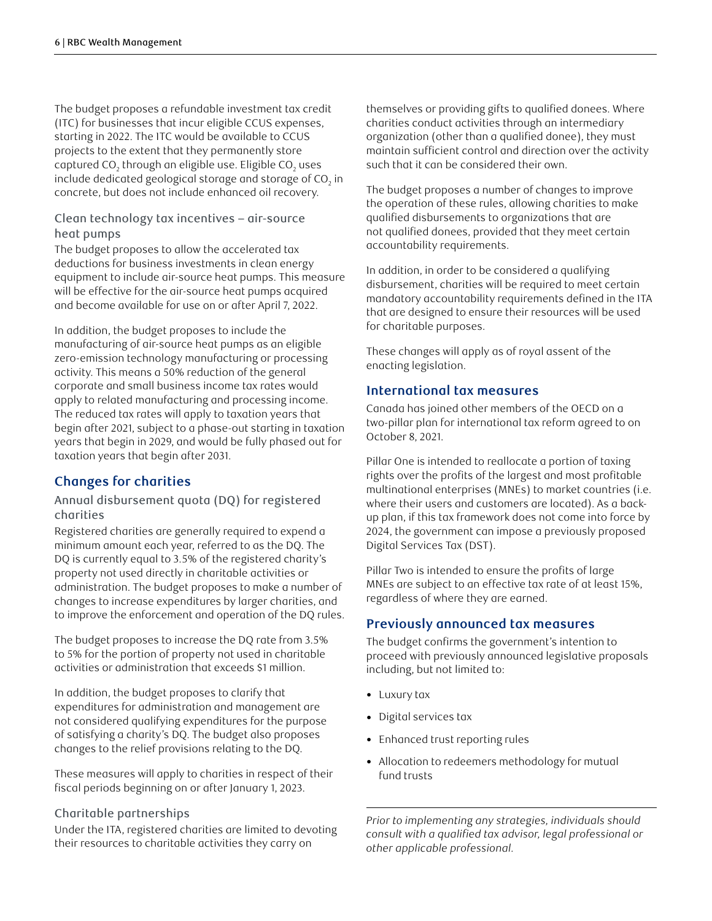The budget proposes a refundable investment tax credit (ITC) for businesses that incur eligible CCUS expenses, starting in 2022. The ITC would be available to CCUS projects to the extent that they permanently store captured CO $_{\textrm{\tiny{2}}}$  through an eligible use. Eligible CO $_{\textrm{\tiny{2}}}$  uses include dedicated geological storage and storage of CO $_{\textrm{\tiny{2}}}$  in concrete, but does not include enhanced oil recovery.

#### Clean technology tax incentives – air-source heat pumps

The budget proposes to allow the accelerated tax deductions for business investments in clean energy equipment to include air-source heat pumps. This measure will be effective for the air-source heat pumps acquired and become available for use on or after April 7, 2022.

In addition, the budget proposes to include the manufacturing of air-source heat pumps as an eligible zero-emission technology manufacturing or processing activity. This means a 50% reduction of the general corporate and small business income tax rates would apply to related manufacturing and processing income. The reduced tax rates will apply to taxation years that begin after 2021, subject to a phase-out starting in taxation years that begin in 2029, and would be fully phased out for taxation years that begin after 2031.

# **Changes for charities**

#### Annual disbursement quota (DQ) for registered charities

Registered charities are generally required to expend a minimum amount each year, referred to as the DQ. The DQ is currently equal to 3.5% of the registered charity's property not used directly in charitable activities or administration. The budget proposes to make a number of changes to increase expenditures by larger charities, and to improve the enforcement and operation of the DQ rules.

The budget proposes to increase the DQ rate from 3.5% to 5% for the portion of property not used in charitable activities or administration that exceeds \$1 million.

In addition, the budget proposes to clarify that expenditures for administration and management are not considered qualifying expenditures for the purpose of satisfying a charity's DQ. The budget also proposes changes to the relief provisions relating to the DQ.

These measures will apply to charities in respect of their fiscal periods beginning on or after January 1, 2023.

#### Charitable partnerships

Under the ITA, registered charities are limited to devoting their resources to charitable activities they carry on

themselves or providing gifts to qualified donees. Where charities conduct activities through an intermediary organization (other than a qualified donee), they must maintain sufficient control and direction over the activity such that it can be considered their own.

The budget proposes a number of changes to improve the operation of these rules, allowing charities to make qualified disbursements to organizations that are not qualified donees, provided that they meet certain accountability requirements.

In addition, in order to be considered a qualifying disbursement, charities will be required to meet certain mandatory accountability requirements defined in the ITA that are designed to ensure their resources will be used for charitable purposes.

These changes will apply as of royal assent of the enacting legislation.

## **International tax measures**

Canada has joined other members of the OECD on a two-pillar plan for international tax reform agreed to on October 8, 2021.

Pillar One is intended to reallocate a portion of taxing rights over the profits of the largest and most profitable multinational enterprises (MNEs) to market countries (i.e. where their users and customers are located). As a backup plan, if this tax framework does not come into force by 2024, the government can impose a previously proposed Digital Services Tax (DST).

Pillar Two is intended to ensure the profits of large MNEs are subject to an effective tax rate of at least 15%, regardless of where they are earned.

# **Previously announced tax measures**

The budget confirms the government's intention to proceed with previously announced legislative proposals including, but not limited to:

- Luxury tax
- Digital services tax
- Enhanced trust reporting rules
- Allocation to redeemers methodology for mutual fund trusts

*Prior to implementing any strategies, individuals should consult with a qualified tax advisor, legal professional or other applicable professional.*